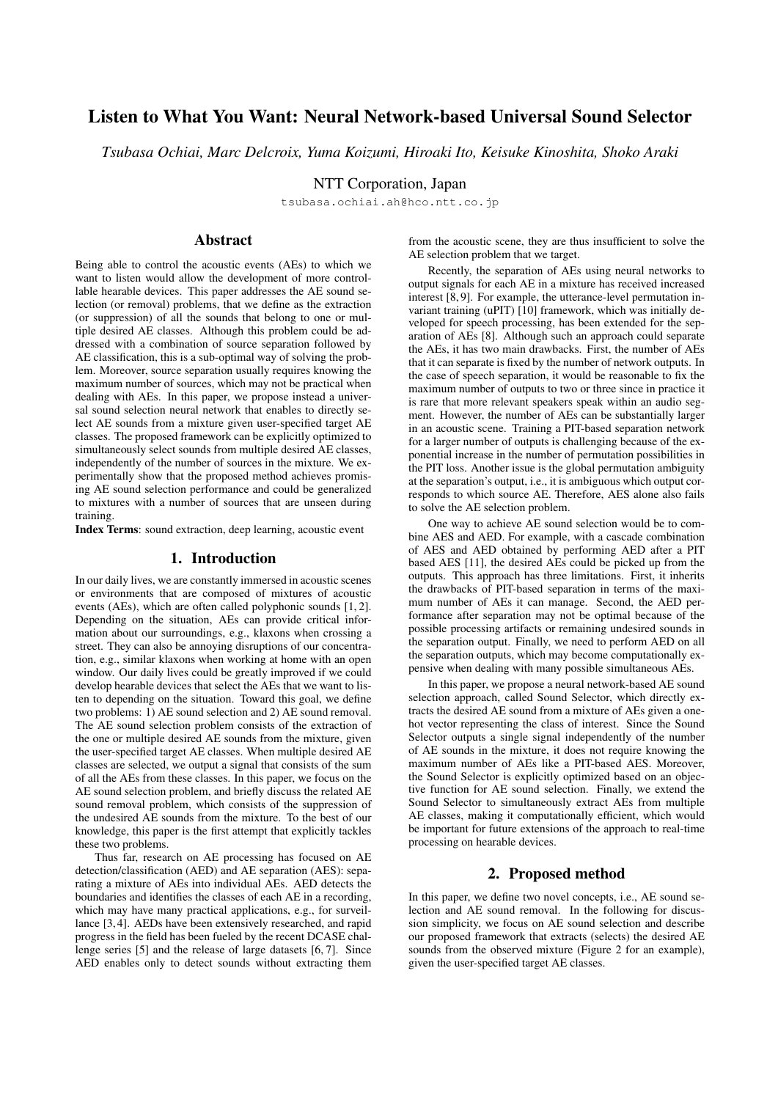# Listen to What You Want: Neural Network-based Universal Sound Selector

*Tsubasa Ochiai, Marc Delcroix, Yuma Koizumi, Hiroaki Ito, Keisuke Kinoshita, Shoko Araki*

NTT Corporation, Japan

tsubasa.ochiai.ah@hco.ntt.co.jp

# Abstract

Being able to control the acoustic events (AEs) to which we want to listen would allow the development of more controllable hearable devices. This paper addresses the AE sound selection (or removal) problems, that we define as the extraction (or suppression) of all the sounds that belong to one or multiple desired AE classes. Although this problem could be addressed with a combination of source separation followed by AE classification, this is a sub-optimal way of solving the problem. Moreover, source separation usually requires knowing the maximum number of sources, which may not be practical when dealing with AEs. In this paper, we propose instead a universal sound selection neural network that enables to directly select AE sounds from a mixture given user-specified target AE classes. The proposed framework can be explicitly optimized to simultaneously select sounds from multiple desired AE classes, independently of the number of sources in the mixture. We experimentally show that the proposed method achieves promising AE sound selection performance and could be generalized to mixtures with a number of sources that are unseen during training.

Index Terms: sound extraction, deep learning, acoustic event

### 1. Introduction

In our daily lives, we are constantly immersed in acoustic scenes or environments that are composed of mixtures of acoustic events (AEs), which are often called polyphonic sounds [1, 2]. Depending on the situation, AEs can provide critical information about our surroundings, e.g., klaxons when crossing a street. They can also be annoying disruptions of our concentration, e.g., similar klaxons when working at home with an open window. Our daily lives could be greatly improved if we could develop hearable devices that select the AEs that we want to listen to depending on the situation. Toward this goal, we define two problems: 1) AE sound selection and 2) AE sound removal. The AE sound selection problem consists of the extraction of the one or multiple desired AE sounds from the mixture, given the user-specified target AE classes. When multiple desired AE classes are selected, we output a signal that consists of the sum of all the AEs from these classes. In this paper, we focus on the AE sound selection problem, and briefly discuss the related AE sound removal problem, which consists of the suppression of the undesired AE sounds from the mixture. To the best of our knowledge, this paper is the first attempt that explicitly tackles these two problems.

Thus far, research on AE processing has focused on AE detection/classification (AED) and AE separation (AES): separating a mixture of AEs into individual AEs. AED detects the boundaries and identifies the classes of each AE in a recording, which may have many practical applications, e.g., for surveillance [3, 4]. AEDs have been extensively researched, and rapid progress in the field has been fueled by the recent DCASE challenge series [5] and the release of large datasets [6, 7]. Since AED enables only to detect sounds without extracting them

from the acoustic scene, they are thus insufficient to solve the AE selection problem that we target.

Recently, the separation of AEs using neural networks to output signals for each AE in a mixture has received increased interest [8, 9]. For example, the utterance-level permutation invariant training (uPIT) [10] framework, which was initially developed for speech processing, has been extended for the separation of AEs [8]. Although such an approach could separate the AEs, it has two main drawbacks. First, the number of AEs that it can separate is fixed by the number of network outputs. In the case of speech separation, it would be reasonable to fix the maximum number of outputs to two or three since in practice it is rare that more relevant speakers speak within an audio segment. However, the number of AEs can be substantially larger in an acoustic scene. Training a PIT-based separation network for a larger number of outputs is challenging because of the exponential increase in the number of permutation possibilities in the PIT loss. Another issue is the global permutation ambiguity at the separation's output, i.e., it is ambiguous which output corresponds to which source AE. Therefore, AES alone also fails to solve the AE selection problem.

One way to achieve AE sound selection would be to combine AES and AED. For example, with a cascade combination of AES and AED obtained by performing AED after a PIT based AES [11], the desired AEs could be picked up from the outputs. This approach has three limitations. First, it inherits the drawbacks of PIT-based separation in terms of the maximum number of AEs it can manage. Second, the AED performance after separation may not be optimal because of the possible processing artifacts or remaining undesired sounds in the separation output. Finally, we need to perform AED on all the separation outputs, which may become computationally expensive when dealing with many possible simultaneous AEs.

In this paper, we propose a neural network-based AE sound selection approach, called Sound Selector, which directly extracts the desired AE sound from a mixture of AEs given a onehot vector representing the class of interest. Since the Sound Selector outputs a single signal independently of the number of AE sounds in the mixture, it does not require knowing the maximum number of AEs like a PIT-based AES. Moreover, the Sound Selector is explicitly optimized based on an objective function for AE sound selection. Finally, we extend the Sound Selector to simultaneously extract AEs from multiple AE classes, making it computationally efficient, which would be important for future extensions of the approach to real-time processing on hearable devices.

### 2. Proposed method

In this paper, we define two novel concepts, i.e., AE sound selection and AE sound removal. In the following for discussion simplicity, we focus on AE sound selection and describe our proposed framework that extracts (selects) the desired AE sounds from the observed mixture (Figure 2 for an example), given the user-specified target AE classes.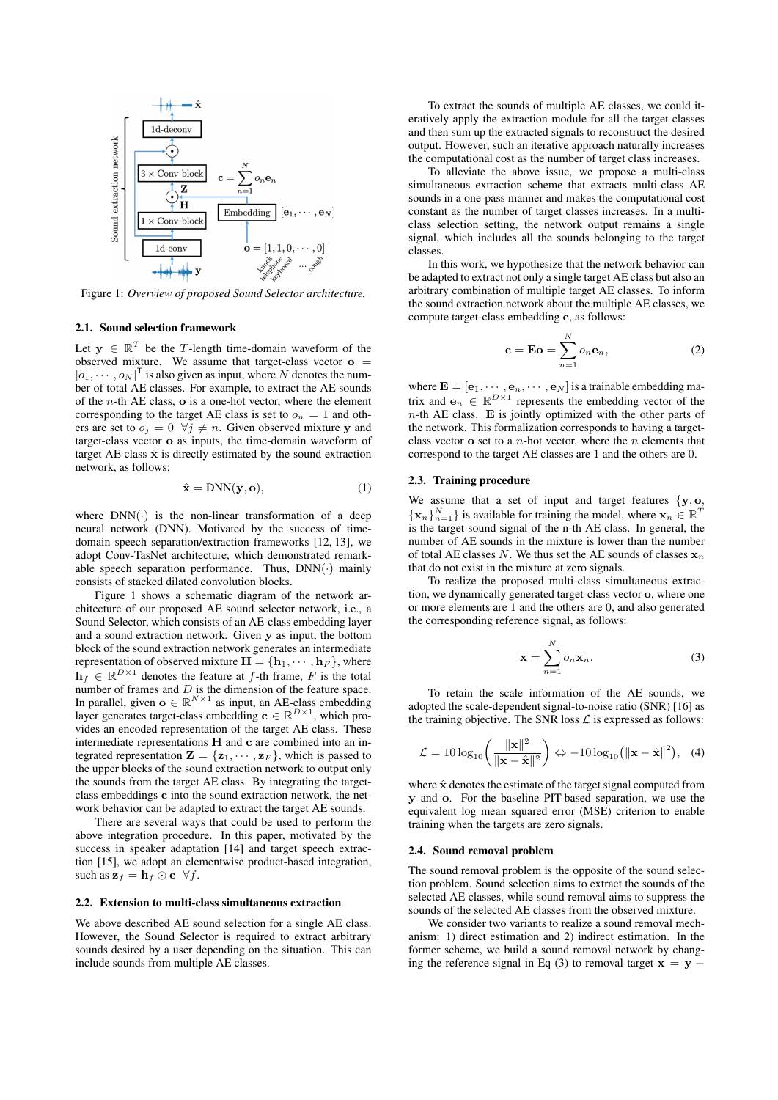

Figure 1: *Overview of proposed Sound Selector architecture.*

### 2.1. Sound selection framework

Let  $y \in \mathbb{R}^T$  be the T-length time-domain waveform of the observed mixture. We assume that target-class vector  $o =$  $[o_1, \cdots, o_N]^\mathsf{T}$  is also given as input, where N denotes the number of total AE classes. For example, to extract the AE sounds of the  $n$ -th AE class,  $\bf{o}$  is a one-hot vector, where the element corresponding to the target AE class is set to  $o_n = 1$  and others are set to  $o_i = 0 \ \forall j \neq n$ . Given observed mixture y and target-class vector o as inputs, the time-domain waveform of target AE class  $\hat{x}$  is directly estimated by the sound extraction network, as follows:

$$
\hat{\mathbf{x}} = \text{DNN}(\mathbf{y}, \mathbf{o}),\tag{1}
$$

where  $DNN(\cdot)$  is the non-linear transformation of a deep neural network (DNN). Motivated by the success of timedomain speech separation/extraction frameworks [12, 13], we adopt Conv-TasNet architecture, which demonstrated remarkable speech separation performance. Thus,  $DNN(\cdot)$  mainly consists of stacked dilated convolution blocks.

Figure 1 shows a schematic diagram of the network architecture of our proposed AE sound selector network, i.e., a Sound Selector, which consists of an AE-class embedding layer and a sound extraction network. Given y as input, the bottom block of the sound extraction network generates an intermediate representation of observed mixture  $\mathbf{H} = \{\mathbf{h}_1, \cdots, \mathbf{h}_F\}$ , where  $\mathbf{h}_f \in \mathbb{R}^{D \times 1}$  denotes the feature at f-th frame, F is the total number of frames and  $D$  is the dimension of the feature space. In parallel, given  $\mathbf{o} \in \mathbb{R}^{N \times 1}$  as input, an AE-class embedding layer generates target-class embedding  $\mathbf{c} \in \mathbb{R}^{D \times 1}$ , which provides an encoded representation of the target AE class. These intermediate representations H and c are combined into an integrated representation  $\mathbf{Z} = \{z_1, \dots, z_F\}$ , which is passed to the upper blocks of the sound extraction network to output only the sounds from the target AE class. By integrating the targetclass embeddings c into the sound extraction network, the network behavior can be adapted to extract the target AE sounds.

There are several ways that could be used to perform the above integration procedure. In this paper, motivated by the success in speaker adaptation [14] and target speech extraction [15], we adopt an elementwise product-based integration, such as  $\mathbf{z}_f = \mathbf{h}_f \odot \mathbf{c} \ \ \forall f$ .

#### 2.2. Extension to multi-class simultaneous extraction

We above described AE sound selection for a single AE class. However, the Sound Selector is required to extract arbitrary sounds desired by a user depending on the situation. This can include sounds from multiple AE classes.

To extract the sounds of multiple AE classes, we could iteratively apply the extraction module for all the target classes and then sum up the extracted signals to reconstruct the desired output. However, such an iterative approach naturally increases the computational cost as the number of target class increases.

To alleviate the above issue, we propose a multi-class simultaneous extraction scheme that extracts multi-class AE sounds in a one-pass manner and makes the computational cost constant as the number of target classes increases. In a multiclass selection setting, the network output remains a single signal, which includes all the sounds belonging to the target classes.

In this work, we hypothesize that the network behavior can be adapted to extract not only a single target AE class but also an arbitrary combination of multiple target AE classes. To inform the sound extraction network about the multiple AE classes, we compute target-class embedding c, as follows:

$$
\mathbf{c} = \mathbf{E}\mathbf{o} = \sum_{n=1}^{N} o_n \mathbf{e}_n, \tag{2}
$$

where  $\mathbf{E} = [\mathbf{e}_1, \cdots, \mathbf{e}_n, \cdots, \mathbf{e}_N]$  is a trainable embedding matrix and  $e_n \in \mathbb{R}^{D \times 1}$  represents the embedding vector of the  $n$ -th AE class. E is jointly optimized with the other parts of the network. This formalization corresponds to having a targetclass vector  $\bf{o}$  set to a *n*-hot vector, where the *n* elements that correspond to the target AE classes are 1 and the others are 0.

### 2.3. Training procedure

We assume that a set of input and target features  $\{y, o, \}$  $\{\mathbf x_n\}_{n=1}^N\}$  is available for training the model, where  $\mathbf x_n \in \mathbb{R}^T$ is the target sound signal of the n-th AE class. In general, the number of AE sounds in the mixture is lower than the number of total AE classes N. We thus set the AE sounds of classes  $x_n$ that do not exist in the mixture at zero signals.

To realize the proposed multi-class simultaneous extraction, we dynamically generated target-class vector o, where one or more elements are 1 and the others are 0, and also generated the corresponding reference signal, as follows:

$$
\mathbf{x} = \sum_{n=1}^{N} o_n \mathbf{x}_n.
$$
 (3)

To retain the scale information of the AE sounds, we adopted the scale-dependent signal-to-noise ratio (SNR) [16] as the training objective. The SNR loss  $\mathcal L$  is expressed as follows:

$$
\mathcal{L} = 10 \log_{10} \left( \frac{\|\mathbf{x}\|^2}{\|\mathbf{x} - \hat{\mathbf{x}}\|^2} \right) \Leftrightarrow -10 \log_{10} \left( \|\mathbf{x} - \hat{\mathbf{x}}\|^2 \right), \quad (4)
$$

where  $\hat{x}$  denotes the estimate of the target signal computed from y and o. For the baseline PIT-based separation, we use the equivalent log mean squared error (MSE) criterion to enable training when the targets are zero signals.

#### 2.4. Sound removal problem

The sound removal problem is the opposite of the sound selection problem. Sound selection aims to extract the sounds of the selected AE classes, while sound removal aims to suppress the sounds of the selected AE classes from the observed mixture.

We consider two variants to realize a sound removal mechanism: 1) direct estimation and 2) indirect estimation. In the former scheme, we build a sound removal network by changing the reference signal in Eq (3) to removal target  $x = y -$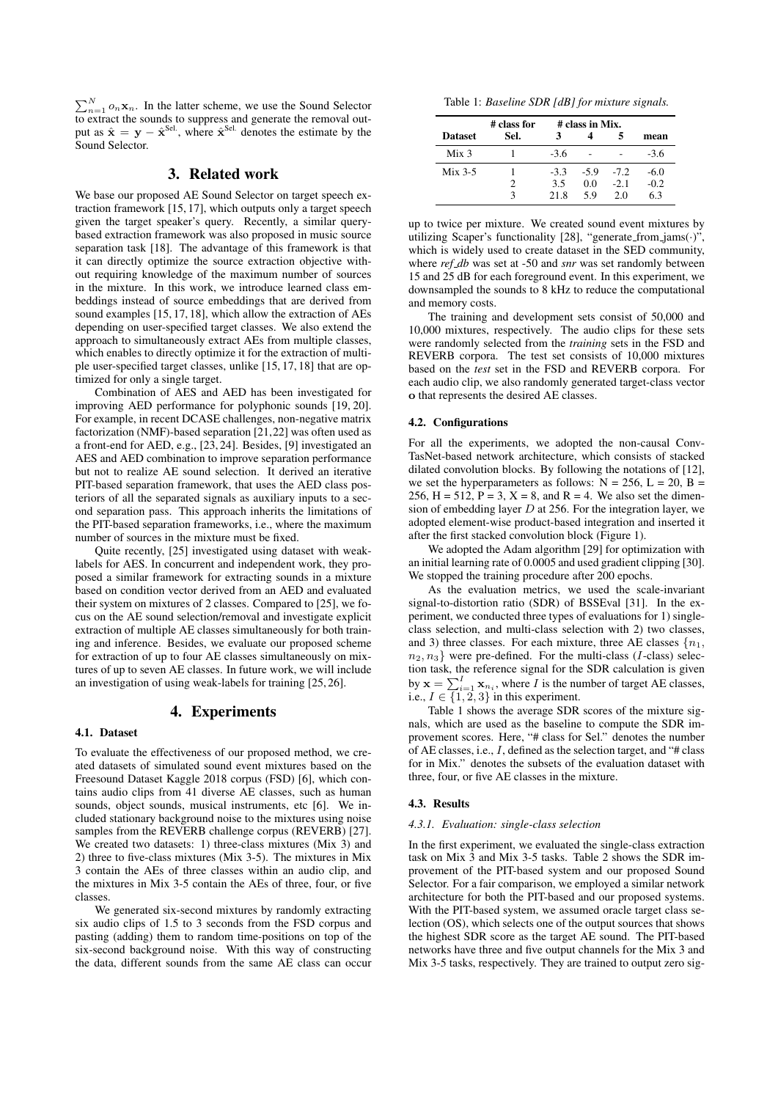$\sum_{n=1}^{N} o_n \mathbf{x}_n$ . In the latter scheme, we use the Sound Selector to extract the sounds to suppress and generate the removal output as  $\hat{\mathbf{x}} = \mathbf{y} - \hat{\mathbf{x}}^{\text{Sel}}$ , where  $\hat{\mathbf{x}}^{\text{Sel}}$  denotes the estimate by the Sound Selector.

### 3. Related work

We base our proposed AE Sound Selector on target speech extraction framework [15, 17], which outputs only a target speech given the target speaker's query. Recently, a similar querybased extraction framework was also proposed in music source separation task [18]. The advantage of this framework is that it can directly optimize the source extraction objective without requiring knowledge of the maximum number of sources in the mixture. In this work, we introduce learned class embeddings instead of source embeddings that are derived from sound examples [15, 17, 18], which allow the extraction of AEs depending on user-specified target classes. We also extend the approach to simultaneously extract AEs from multiple classes, which enables to directly optimize it for the extraction of multiple user-specified target classes, unlike [15, 17, 18] that are optimized for only a single target.

Combination of AES and AED has been investigated for improving AED performance for polyphonic sounds [19, 20]. For example, in recent DCASE challenges, non-negative matrix factorization (NMF)-based separation [21,22] was often used as a front-end for AED, e.g., [23, 24]. Besides, [9] investigated an AES and AED combination to improve separation performance but not to realize AE sound selection. It derived an iterative PIT-based separation framework, that uses the AED class posteriors of all the separated signals as auxiliary inputs to a second separation pass. This approach inherits the limitations of the PIT-based separation frameworks, i.e., where the maximum number of sources in the mixture must be fixed.

Quite recently, [25] investigated using dataset with weaklabels for AES. In concurrent and independent work, they proposed a similar framework for extracting sounds in a mixture based on condition vector derived from an AED and evaluated their system on mixtures of 2 classes. Compared to [25], we focus on the AE sound selection/removal and investigate explicit extraction of multiple AE classes simultaneously for both training and inference. Besides, we evaluate our proposed scheme for extraction of up to four AE classes simultaneously on mixtures of up to seven AE classes. In future work, we will include an investigation of using weak-labels for training [25, 26].

### 4. Experiments

### 4.1. Dataset

To evaluate the effectiveness of our proposed method, we created datasets of simulated sound event mixtures based on the Freesound Dataset Kaggle 2018 corpus (FSD) [6], which contains audio clips from 41 diverse AE classes, such as human sounds, object sounds, musical instruments, etc [6]. We included stationary background noise to the mixtures using noise samples from the REVERB challenge corpus (REVERB) [27]. We created two datasets: 1) three-class mixtures (Mix 3) and 2) three to five-class mixtures (Mix 3-5). The mixtures in Mix 3 contain the AEs of three classes within an audio clip, and the mixtures in Mix 3-5 contain the AEs of three, four, or five classes.

We generated six-second mixtures by randomly extracting six audio clips of 1.5 to 3 seconds from the FSD corpus and pasting (adding) them to random time-positions on top of the six-second background noise. With this way of constructing the data, different sounds from the same AE class can occur

Table 1: *Baseline SDR [dB] for mixture signals.*

|                  | # class for | # class in Mix. |        |        |        |
|------------------|-------------|-----------------|--------|--------|--------|
| <b>Dataset</b>   | Sel.        |                 |        |        | mean   |
| Mix <sub>3</sub> |             | $-3.6$          |        |        | $-3.6$ |
| $Mix$ 3-5        |             | $-3.3$          | $-5.9$ | $-7.2$ | -6.0   |
|                  | 2           | 3.5             | 0.0    | $-2.1$ | $-0.2$ |
|                  |             | 21.8            | 59     | 20     | 63     |

up to twice per mixture. We created sound event mixtures by utilizing Scaper's functionality [28], "generate\_from\_jams $(\cdot)$ ", which is widely used to create dataset in the SED community, where *ref db* was set at -50 and *snr* was set randomly between 15 and 25 dB for each foreground event. In this experiment, we downsampled the sounds to 8 kHz to reduce the computational and memory costs.

The training and development sets consist of 50,000 and 10,000 mixtures, respectively. The audio clips for these sets were randomly selected from the *training* sets in the FSD and REVERB corpora. The test set consists of 10,000 mixtures based on the *test* set in the FSD and REVERB corpora. For each audio clip, we also randomly generated target-class vector o that represents the desired AE classes.

### 4.2. Configurations

For all the experiments, we adopted the non-causal Conv-TasNet-based network architecture, which consists of stacked dilated convolution blocks. By following the notations of [12], we set the hyperparameters as follows:  $N = 256$ ,  $L = 20$ ,  $B =$ 256, H = 512, P = 3, X = 8, and R = 4. We also set the dimension of embedding layer  $D$  at 256. For the integration layer, we adopted element-wise product-based integration and inserted it after the first stacked convolution block (Figure 1).

We adopted the Adam algorithm [29] for optimization with an initial learning rate of 0.0005 and used gradient clipping [30]. We stopped the training procedure after 200 epochs.

As the evaluation metrics, we used the scale-invariant signal-to-distortion ratio (SDR) of BSSEval [31]. In the experiment, we conducted three types of evaluations for 1) singleclass selection, and multi-class selection with 2) two classes, and 3) three classes. For each mixture, three AE classes  $\{n_1,$  $n_2, n_3$  were pre-defined. For the multi-class (*I*-class) selection task, the reference signal for the SDR calculation is given by  $\mathbf{x} = \sum_{i=1}^{I} \mathbf{x}_{n_i}$ , where *I* is the number of target AE classes, i.e.,  $I \in \{1, 2, 3\}$  in this experiment.

Table 1 shows the average SDR scores of the mixture signals, which are used as the baseline to compute the SDR improvement scores. Here, "# class for Sel." denotes the number of AE classes, i.e., I, defined as the selection target, and "# class for in Mix." denotes the subsets of the evaluation dataset with three, four, or five AE classes in the mixture.

#### 4.3. Results

#### *4.3.1. Evaluation: single-class selection*

In the first experiment, we evaluated the single-class extraction task on Mix 3 and Mix 3-5 tasks. Table 2 shows the SDR improvement of the PIT-based system and our proposed Sound Selector. For a fair comparison, we employed a similar network architecture for both the PIT-based and our proposed systems. With the PIT-based system, we assumed oracle target class selection (OS), which selects one of the output sources that shows the highest SDR score as the target AE sound. The PIT-based networks have three and five output channels for the Mix 3 and Mix 3-5 tasks, respectively. They are trained to output zero sig-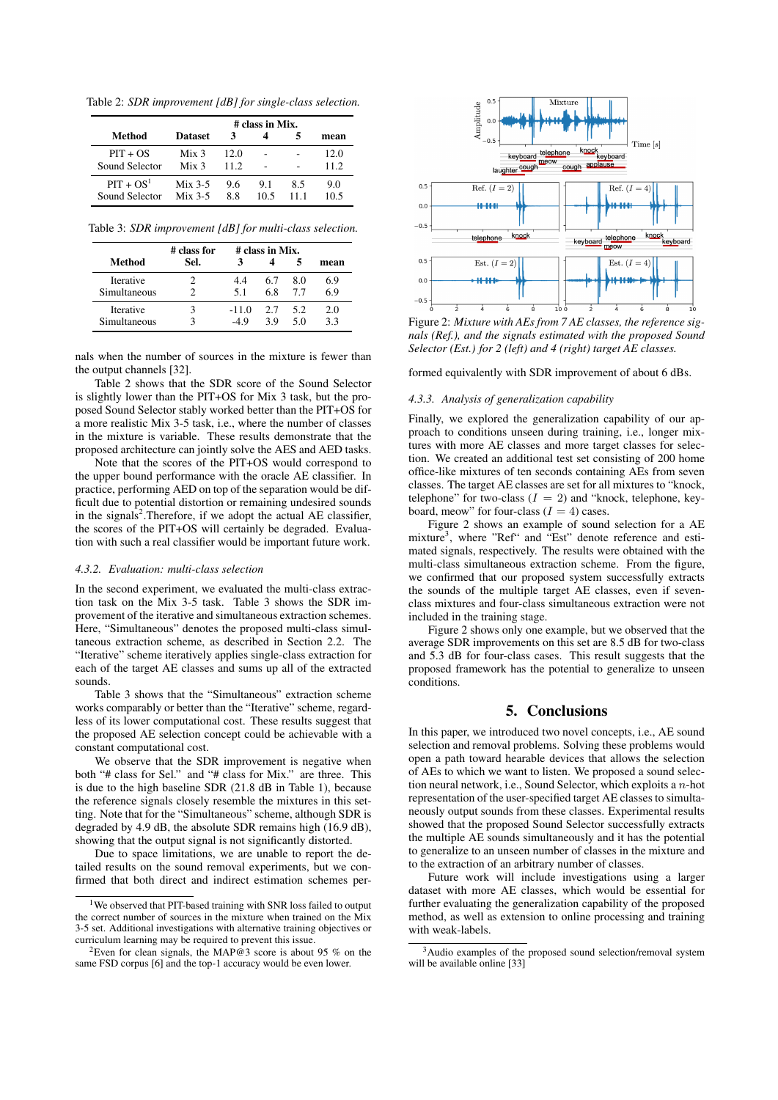Table 2: *SDR improvement [dB] for single-class selection.*

|                               |                                      | # class in Mix. |             |     |              |
|-------------------------------|--------------------------------------|-----------------|-------------|-----|--------------|
| Method                        | <b>Dataset</b>                       | 3               |             |     | mean         |
| $PIT + OS$<br>Sound Selector  | Mix <sub>3</sub><br>Mix <sub>3</sub> | 12 O<br>11.2    |             |     | 12.0<br>11.2 |
| $PIT + OS1$<br>Sound Selector | $Mix$ 3-5<br>$Mix$ 3-5               | 9.6<br>88       | 9.1<br>10.5 | 8.5 | 9.0<br>10.5  |

Table 3: *SDR improvement [dB] for multi-class selection.*

|              | # class for | # class in Mix. |     |     |      |
|--------------|-------------|-----------------|-----|-----|------|
| Method       | Sel.        |                 |     |     | mean |
| Iterative    |             | 44              | 6.7 | 80  | 6.9  |
| Simultaneous |             | 5.1             | 6.8 | 77  | 69   |
| Iterative    |             | $-11.0$         | 2.7 | 5.2 | 2.0  |
| Simultaneous |             | -49             | 39  | 50  | 33   |

nals when the number of sources in the mixture is fewer than the output channels [32].

Table 2 shows that the SDR score of the Sound Selector is slightly lower than the PIT+OS for Mix 3 task, but the proposed Sound Selector stably worked better than the PIT+OS for a more realistic Mix 3-5 task, i.e., where the number of classes in the mixture is variable. These results demonstrate that the proposed architecture can jointly solve the AES and AED tasks.

Note that the scores of the PIT+OS would correspond to the upper bound performance with the oracle AE classifier. In practice, performing AED on top of the separation would be difficult due to potential distortion or remaining undesired sounds in the signals<sup>2</sup>. Therefore, if we adopt the actual AE classifier, the scores of the PIT+OS will certainly be degraded. Evaluation with such a real classifier would be important future work.

### *4.3.2. Evaluation: multi-class selection*

In the second experiment, we evaluated the multi-class extraction task on the Mix 3-5 task. Table 3 shows the SDR improvement of the iterative and simultaneous extraction schemes. Here, "Simultaneous" denotes the proposed multi-class simultaneous extraction scheme, as described in Section 2.2. The "Iterative" scheme iteratively applies single-class extraction for each of the target AE classes and sums up all of the extracted sounds.

Table 3 shows that the "Simultaneous" extraction scheme works comparably or better than the "Iterative" scheme, regardless of its lower computational cost. These results suggest that the proposed AE selection concept could be achievable with a constant computational cost.

We observe that the SDR improvement is negative when both "# class for Sel." and "# class for Mix." are three. This is due to the high baseline SDR (21.8 dB in Table 1), because the reference signals closely resemble the mixtures in this setting. Note that for the "Simultaneous" scheme, although SDR is degraded by 4.9 dB, the absolute SDR remains high (16.9 dB), showing that the output signal is not significantly distorted.

Due to space limitations, we are unable to report the detailed results on the sound removal experiments, but we confirmed that both direct and indirect estimation schemes per-



Figure 2: *Mixture with AEs from 7 AE classes, the reference signals (Ref.), and the signals estimated with the proposed Sound Selector (Est.) for 2 (left) and 4 (right) target AE classes.*

formed equivalently with SDR improvement of about 6 dBs.

#### *4.3.3. Analysis of generalization capability*

Finally, we explored the generalization capability of our approach to conditions unseen during training, i.e., longer mixtures with more AE classes and more target classes for selection. We created an additional test set consisting of 200 home office-like mixtures of ten seconds containing AEs from seven classes. The target AE classes are set for all mixtures to "knock, telephone" for two-class  $(I = 2)$  and "knock, telephone, keyboard, meow" for four-class  $(I = 4)$  cases.

Figure 2 shows an example of sound selection for a AE mixture<sup>3</sup>, where "Ref" and "Est" denote reference and estimated signals, respectively. The results were obtained with the multi-class simultaneous extraction scheme. From the figure, we confirmed that our proposed system successfully extracts the sounds of the multiple target AE classes, even if sevenclass mixtures and four-class simultaneous extraction were not included in the training stage.

Figure 2 shows only one example, but we observed that the average SDR improvements on this set are 8.5 dB for two-class and 5.3 dB for four-class cases. This result suggests that the proposed framework has the potential to generalize to unseen conditions.

## 5. Conclusions

In this paper, we introduced two novel concepts, i.e., AE sound selection and removal problems. Solving these problems would open a path toward hearable devices that allows the selection of AEs to which we want to listen. We proposed a sound selection neural network, i.e., Sound Selector, which exploits a n-hot representation of the user-specified target AE classes to simultaneously output sounds from these classes. Experimental results showed that the proposed Sound Selector successfully extracts the multiple AE sounds simultaneously and it has the potential to generalize to an unseen number of classes in the mixture and to the extraction of an arbitrary number of classes.

Future work will include investigations using a larger dataset with more AE classes, which would be essential for further evaluating the generalization capability of the proposed method, as well as extension to online processing and training with weak-labels.

<sup>&</sup>lt;sup>1</sup>We observed that PIT-based training with SNR loss failed to output the correct number of sources in the mixture when trained on the Mix 3-5 set. Additional investigations with alternative training objectives or curriculum learning may be required to prevent this issue.

<sup>&</sup>lt;sup>2</sup>Even for clean signals, the MAP@3 score is about 95 % on the same FSD corpus [6] and the top-1 accuracy would be even lower.

<sup>3</sup>Audio examples of the proposed sound selection/removal system will be available online [33]